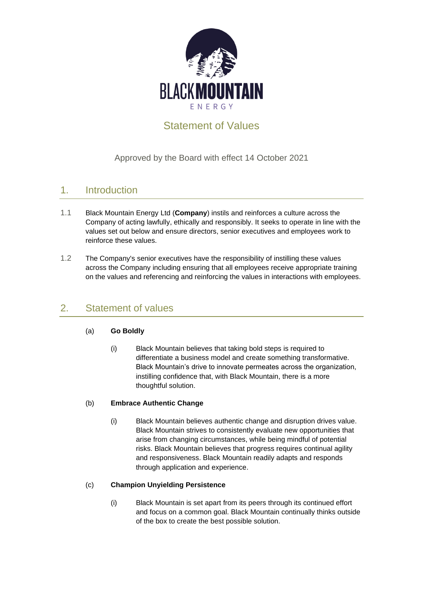

# Statement of Values

### Approved by the Board with effect 14 October 2021

## 1. Introduction

- 1.1 Black Mountain Energy Ltd (**Company**) instils and reinforces a culture across the Company of acting lawfully, ethically and responsibly. It seeks to operate in line with the values set out below and ensure directors, senior executives and employees work to reinforce these values.
- 1.2 The Company's senior executives have the responsibility of instilling these values across the Company including ensuring that all employees receive appropriate training on the values and referencing and reinforcing the values in interactions with employees.

### 2. Statement of values

#### (a) **Go Boldly**

(i) Black Mountain believes that taking bold steps is required to differentiate a business model and create something transformative. Black Mountain's drive to innovate permeates across the organization, instilling confidence that, with Black Mountain, there is a more thoughtful solution.

#### (b) **Embrace Authentic Change**

(i) Black Mountain believes authentic change and disruption drives value. Black Mountain strives to consistently evaluate new opportunities that arise from changing circumstances, while being mindful of potential risks. Black Mountain believes that progress requires continual agility and responsiveness. Black Mountain readily adapts and responds through application and experience.

#### (c) **Champion Unyielding Persistence**

(i) Black Mountain is set apart from its peers through its continued effort and focus on a common goal. Black Mountain continually thinks outside of the box to create the best possible solution.